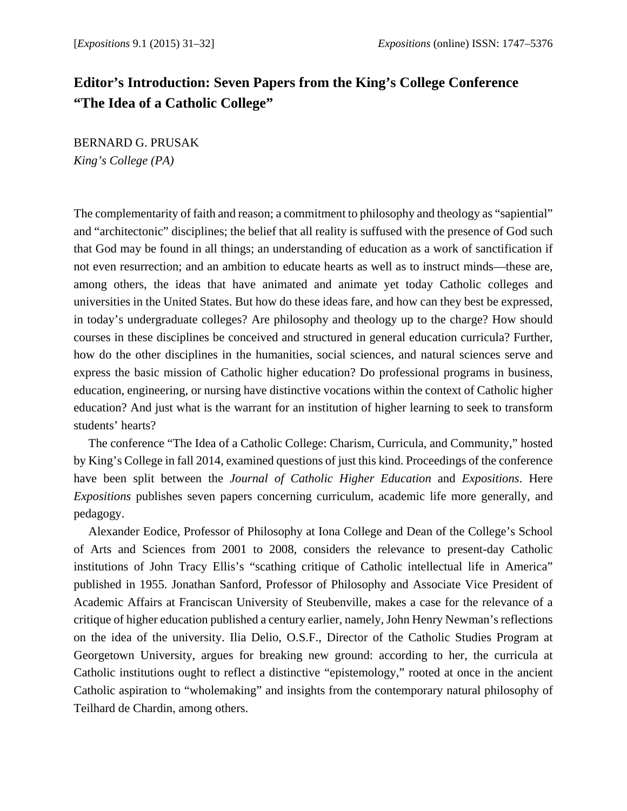## **Editor's Introduction: Seven Papers from the King's College Conference "The Idea of a Catholic College"**

BERNARD G. PRUSAK *King's College (PA)* 

The complementarity of faith and reason; a commitment to philosophy and theology as "sapiential" and "architectonic" disciplines; the belief that all reality is suffused with the presence of God such that God may be found in all things; an understanding of education as a work of sanctification if not even resurrection; and an ambition to educate hearts as well as to instruct minds—these are, among others, the ideas that have animated and animate yet today Catholic colleges and universities in the United States. But how do these ideas fare, and how can they best be expressed, in today's undergraduate colleges? Are philosophy and theology up to the charge? How should courses in these disciplines be conceived and structured in general education curricula? Further, how do the other disciplines in the humanities, social sciences, and natural sciences serve and express the basic mission of Catholic higher education? Do professional programs in business, education, engineering, or nursing have distinctive vocations within the context of Catholic higher education? And just what is the warrant for an institution of higher learning to seek to transform students' hearts?

The conference "The Idea of a Catholic College: Charism, Curricula, and Community," hosted by King's College in fall 2014, examined questions of just this kind. Proceedings of the conference have been split between the *Journal of Catholic Higher Education* and *Expositions*. Here *Expositions* publishes seven papers concerning curriculum, academic life more generally, and pedagogy.

Alexander Eodice, Professor of Philosophy at Iona College and Dean of the College's School of Arts and Sciences from 2001 to 2008, considers the relevance to present-day Catholic institutions of John Tracy Ellis's "scathing critique of Catholic intellectual life in America" published in 1955. Jonathan Sanford, Professor of Philosophy and Associate Vice President of Academic Affairs at Franciscan University of Steubenville, makes a case for the relevance of a critique of higher education published a century earlier, namely, John Henry Newman's reflections on the idea of the university. Ilia Delio, O.S.F., Director of the Catholic Studies Program at Georgetown University, argues for breaking new ground: according to her, the curricula at Catholic institutions ought to reflect a distinctive "epistemology," rooted at once in the ancient Catholic aspiration to "wholemaking" and insights from the contemporary natural philosophy of Teilhard de Chardin, among others.